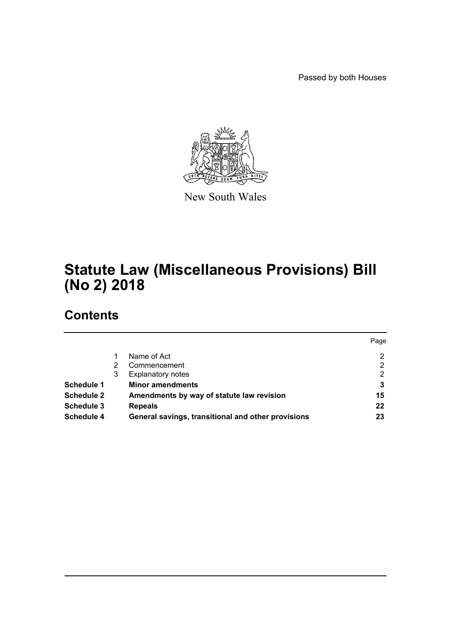Passed by both Houses



New South Wales

# **Statute Law (Miscellaneous Provisions) Bill (No 2) 2018**

# **Contents**

|                   |   |                                                    | Page |
|-------------------|---|----------------------------------------------------|------|
|                   |   | Name of Act                                        | 2    |
|                   |   | Commencement                                       | 2    |
|                   | 3 | <b>Explanatory notes</b>                           | 2    |
| <b>Schedule 1</b> |   | <b>Minor amendments</b>                            | 3    |
| <b>Schedule 2</b> |   | Amendments by way of statute law revision          | 15   |
| <b>Schedule 3</b> |   | <b>Repeals</b>                                     | 22   |
| Schedule 4        |   | General savings, transitional and other provisions | 23   |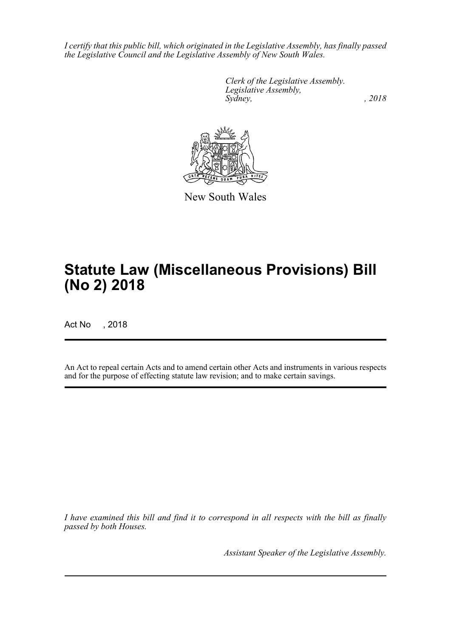*I certify that this public bill, which originated in the Legislative Assembly, has finally passed the Legislative Council and the Legislative Assembly of New South Wales.*

> *Clerk of the Legislative Assembly. Legislative Assembly, Sydney, , 2018*



New South Wales

# **Statute Law (Miscellaneous Provisions) Bill (No 2) 2018**

Act No , 2018

An Act to repeal certain Acts and to amend certain other Acts and instruments in various respects and for the purpose of effecting statute law revision; and to make certain savings.

*I have examined this bill and find it to correspond in all respects with the bill as finally passed by both Houses.*

*Assistant Speaker of the Legislative Assembly.*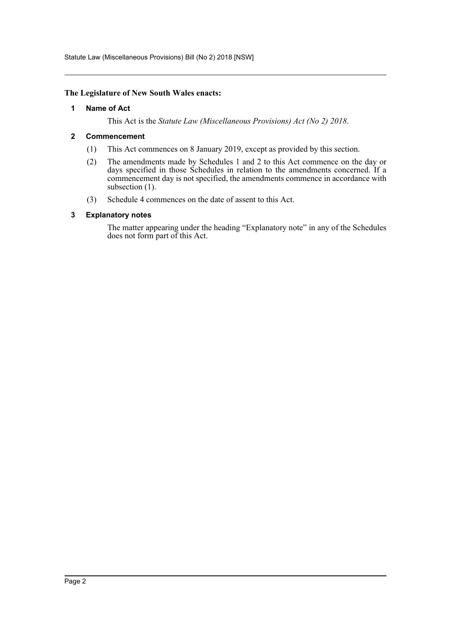Statute Law (Miscellaneous Provisions) Bill (No 2) 2018 [NSW]

# <span id="page-2-0"></span>**The Legislature of New South Wales enacts:**

# **1 Name of Act**

This Act is the *Statute Law (Miscellaneous Provisions) Act (No 2) 2018*.

# <span id="page-2-1"></span>**2 Commencement**

- (1) This Act commences on 8 January 2019, except as provided by this section.
- (2) The amendments made by Schedules 1 and 2 to this Act commence on the day or days specified in those Schedules in relation to the amendments concerned. If a commencement day is not specified, the amendments commence in accordance with subsection (1).
- (3) Schedule 4 commences on the date of assent to this Act.

# <span id="page-2-2"></span>**3 Explanatory notes**

The matter appearing under the heading "Explanatory note" in any of the Schedules does not form part of this Act.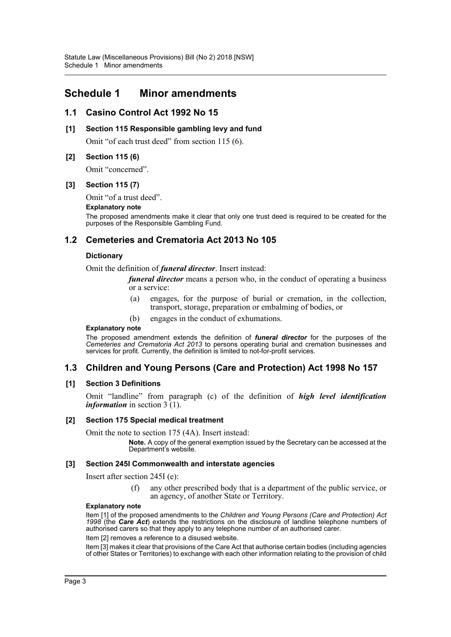# <span id="page-3-0"></span>**Schedule 1 Minor amendments**

# **1.1 Casino Control Act 1992 No 15**

# **[1] Section 115 Responsible gambling levy and fund**

Omit "of each trust deed" from section 115 (6).

# **[2] Section 115 (6)**

Omit "concerned".

# **[3] Section 115 (7)**

Omit "of a trust deed".

#### **Explanatory note**

The proposed amendments make it clear that only one trust deed is required to be created for the purposes of the Responsible Gambling Fund.

# **1.2 Cemeteries and Crematoria Act 2013 No 105**

# **Dictionary**

Omit the definition of *funeral director*. Insert instead:

*funeral director* means a person who, in the conduct of operating a business or a service:

- (a) engages, for the purpose of burial or cremation, in the collection, transport, storage, preparation or embalming of bodies, or
- (b) engages in the conduct of exhumations.

#### **Explanatory note**

The proposed amendment extends the definition of *funeral director* for the purposes of the *Cemeteries and Crematoria Act 2013* to persons operating burial and cremation businesses and services for profit. Currently, the definition is limited to not-for-profit services.

# **1.3 Children and Young Persons (Care and Protection) Act 1998 No 157**

# **[1] Section 3 Definitions**

Omit "landline" from paragraph (c) of the definition of *high level identification information* in section 3 (1).

# **[2] Section 175 Special medical treatment**

Omit the note to section 175 (4A). Insert instead:

**Note.** A copy of the general exemption issued by the Secretary can be accessed at the Department's website.

# **[3] Section 245I Commonwealth and interstate agencies**

Insert after section 245I (e):

(f) any other prescribed body that is a department of the public service, or an agency, of another State or Territory.

#### **Explanatory note**

Item [1] of the proposed amendments to the *Children and Young Persons (Care and Protection) Act 1998* (the *Care Act*) extends the restrictions on the disclosure of landline telephone numbers of authorised carers so that they apply to any telephone number of an authorised carer.

Item [2] removes a reference to a disused website.

Item [3] makes it clear that provisions of the Care Act that authorise certain bodies (including agencies of other States or Territories) to exchange with each other information relating to the provision of child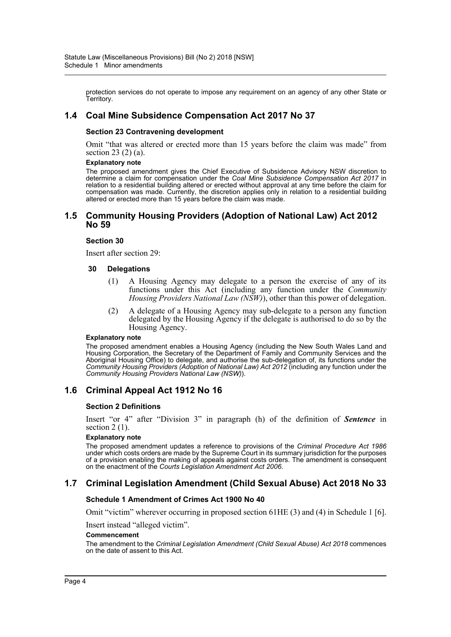protection services do not operate to impose any requirement on an agency of any other State or Territory.

# **1.4 Coal Mine Subsidence Compensation Act 2017 No 37**

#### **Section 23 Contravening development**

Omit "that was altered or erected more than 15 years before the claim was made" from section 23 (2) (a).

#### **Explanatory note**

The proposed amendment gives the Chief Executive of Subsidence Advisory NSW discretion to determine a claim for compensation under the *Coal Mine Subsidence Compensation Act 2017* in relation to a residential building altered or erected without approval at any time before the claim for compensation was made. Currently, the discretion applies only in relation to a residential building altered or erected more than 15 years before the claim was made.

# **1.5 Community Housing Providers (Adoption of National Law) Act 2012 No 59**

#### **Section 30**

Insert after section 29:

#### **30 Delegations**

- (1) A Housing Agency may delegate to a person the exercise of any of its functions under this Act (including any function under the *Community Housing Providers National Law (NSW)*), other than this power of delegation.
- (2) A delegate of a Housing Agency may sub-delegate to a person any function delegated by the Housing Agency if the delegate is authorised to do so by the Housing Agency.

#### **Explanatory note**

The proposed amendment enables a Housing Agency (including the New South Wales Land and Housing Corporation, the Secretary of the Department of Family and Community Services and the Aboriginal Housing Office) to delegate, and authorise the sub-delegation of, its functions under the *Community Housing Providers (Adoption of National Law) Act 2012* (including any function under the *Community Housing Providers National Law (NSW)*).

# **1.6 Criminal Appeal Act 1912 No 16**

#### **Section 2 Definitions**

Insert "or 4" after "Division 3" in paragraph (h) of the definition of *Sentence* in section 2 (1).

#### **Explanatory note**

The proposed amendment updates a reference to provisions of the *Criminal Procedure Act 1986* under which costs orders are made by the Supreme Court in its summary jurisdiction for the purposes of a provision enabling the making of appeals against costs orders. The amendment is consequent on the enactment of the *Courts Legislation Amendment Act 2006*.

# **1.7 Criminal Legislation Amendment (Child Sexual Abuse) Act 2018 No 33**

#### **Schedule 1 Amendment of Crimes Act 1900 No 40**

Omit "victim" wherever occurring in proposed section 61HE (3) and (4) in Schedule 1 [6].

Insert instead "alleged victim".

#### **Commencement**

The amendment to the *Criminal Legislation Amendment (Child Sexual Abuse) Act 2018* commences on the date of assent to this Act.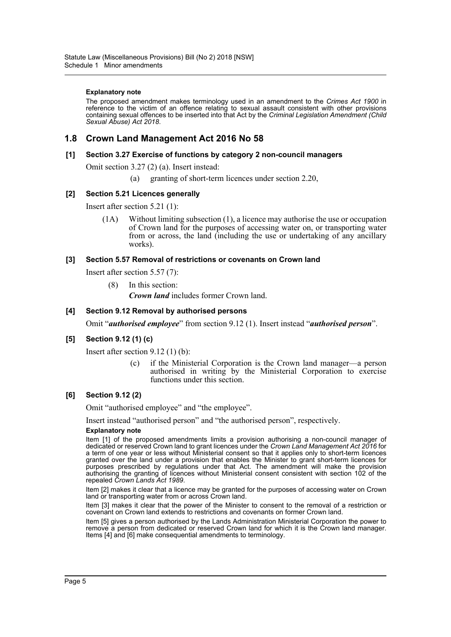#### **Explanatory note**

The proposed amendment makes terminology used in an amendment to the *Crimes Act 1900* in reference to the victim of an offence relating to sexual assault consistent with other provisions containing sexual offences to be inserted into that Act by the *Criminal Legislation Amendment (Child Sexual Abuse) Act 2018*.

# **1.8 Crown Land Management Act 2016 No 58**

# **[1] Section 3.27 Exercise of functions by category 2 non-council managers**

Omit section 3.27 (2) (a). Insert instead:

(a) granting of short-term licences under section 2.20,

# **[2] Section 5.21 Licences generally**

Insert after section 5.21 (1):

(1A) Without limiting subsection (1), a licence may authorise the use or occupation of Crown land for the purposes of accessing water on, or transporting water from or across, the land (including the use or undertaking of any ancillary works).

#### **[3] Section 5.57 Removal of restrictions or covenants on Crown land**

Insert after section 5.57 (7):

(8) In this section:

*Crown land* includes former Crown land.

#### **[4] Section 9.12 Removal by authorised persons**

Omit "*authorised employee*" from section 9.12 (1). Insert instead "*authorised person*".

# **[5] Section 9.12 (1) (c)**

Insert after section 9.12 (1) (b):

(c) if the Ministerial Corporation is the Crown land manager—a person authorised in writing by the Ministerial Corporation to exercise functions under this section.

#### **[6] Section 9.12 (2)**

Omit "authorised employee" and "the employee".

Insert instead "authorised person" and "the authorised person", respectively.

#### **Explanatory note**

Item [1] of the proposed amendments limits a provision authorising a non-council manager of dedicated or reserved Crown land to grant licences under the *Crown Land Management Act 2016* for a term of one year or less without Ministerial consent so that it applies only to short-term licences granted over the land under a provision that enables the Minister to grant short-term licences for purposes prescribed by regulations under that Act. The amendment will make the provision authorising the granting of licences without Ministerial consent consistent with section 102 of the repealed *Crown Lands Act 1989*.

Item [2] makes it clear that a licence may be granted for the purposes of accessing water on Crown land or transporting water from or across Crown land.

Item [3] makes it clear that the power of the Minister to consent to the removal of a restriction or covenant on Crown land extends to restrictions and covenants on former Crown land.

Item [5] gives a person authorised by the Lands Administration Ministerial Corporation the power to remove a person from dedicated or reserved Crown land for which it is the Crown land manager. Items [4] and [6] make consequential amendments to terminology.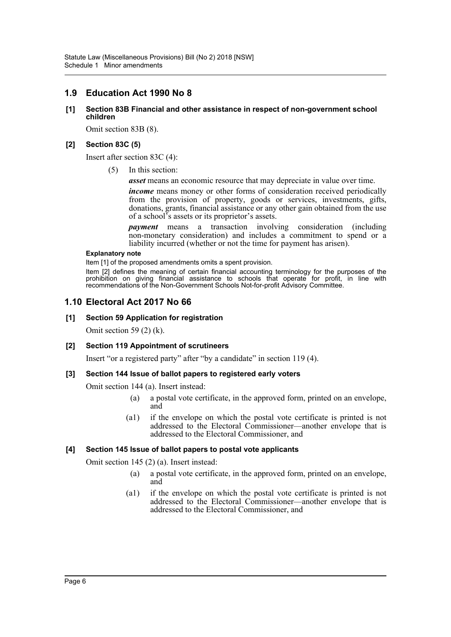# **1.9 Education Act 1990 No 8**

# **[1] Section 83B Financial and other assistance in respect of non-government school children**

Omit section 83B (8).

# **[2] Section 83C (5)**

Insert after section 83C (4):

(5) In this section:

*asset* means an economic resource that may depreciate in value over time.

*income* means money or other forms of consideration received periodically from the provision of property, goods or services, investments, gifts, donations, grants, financial assistance or any other gain obtained from the use of a school's assets or its proprietor's assets.

*payment* means a transaction involving consideration (including non-monetary consideration) and includes a commitment to spend or a liability incurred (whether or not the time for payment has arisen).

#### **Explanatory note**

Item [1] of the proposed amendments omits a spent provision.

Item [2] defines the meaning of certain financial accounting terminology for the purposes of the prohibition on giving financial assistance to schools that operate for profit, in line with recommendations of the Non-Government Schools Not-for-profit Advisory Committee.

# **1.10 Electoral Act 2017 No 66**

# **[1] Section 59 Application for registration**

Omit section 59 (2) (k).

# **[2] Section 119 Appointment of scrutineers**

Insert "or a registered party" after "by a candidate" in section 119 (4).

# **[3] Section 144 Issue of ballot papers to registered early voters**

Omit section 144 (a). Insert instead:

- (a) a postal vote certificate, in the approved form, printed on an envelope, and
- (a1) if the envelope on which the postal vote certificate is printed is not addressed to the Electoral Commissioner—another envelope that is addressed to the Electoral Commissioner, and

# **[4] Section 145 Issue of ballot papers to postal vote applicants**

Omit section 145 (2) (a). Insert instead:

- (a) a postal vote certificate, in the approved form, printed on an envelope, and
- (a1) if the envelope on which the postal vote certificate is printed is not addressed to the Electoral Commissioner—another envelope that is addressed to the Electoral Commissioner, and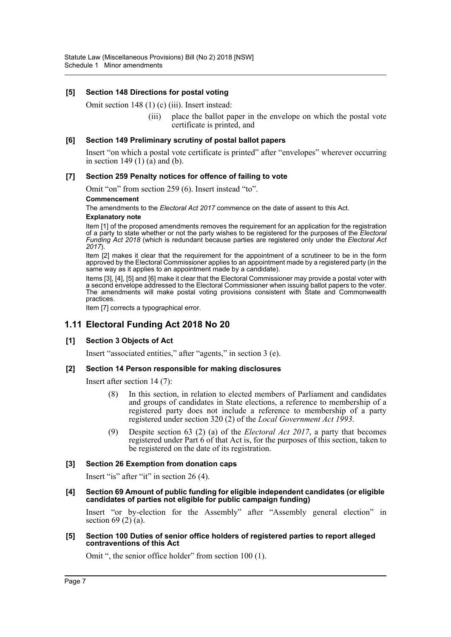# **[5] Section 148 Directions for postal voting**

Omit section 148 (1) (c) (iii). Insert instead:

(iii) place the ballot paper in the envelope on which the postal vote certificate is printed, and

#### **[6] Section 149 Preliminary scrutiny of postal ballot papers**

Insert "on which a postal vote certificate is printed" after "envelopes" wherever occurring in section 149 $(1)$  $(\hat{a})$  and  $(\hat{b})$ .

#### **[7] Section 259 Penalty notices for offence of failing to vote**

Omit "on" from section 259 (6). Insert instead "to".

#### **Commencement**

The amendments to the *Electoral Act 2017* commence on the date of assent to this Act.

#### **Explanatory note**

Item [1] of the proposed amendments removes the requirement for an application for the registration of a party to state whether or not the party wishes to be registered for the purposes of the *Electoral Funding Act 2018* (which is redundant because parties are registered only under the *Electoral Act 2017*).

Item [2] makes it clear that the requirement for the appointment of a scrutineer to be in the form approved by the Electoral Commissioner applies to an appointment made by a registered party (in the same way as it applies to an appointment made by a candidate).

Items [3], [4], [5] and [6] make it clear that the Electoral Commissioner may provide a postal voter with a second envelope addressed to the Electoral Commissioner when issuing ballot papers to the voter. The amendments will make postal voting provisions consistent with State and Commonwealth practices.

Item [7] corrects a typographical error.

# **1.11 Electoral Funding Act 2018 No 20**

# **[1] Section 3 Objects of Act**

Insert "associated entities," after "agents," in section 3 (e).

#### **[2] Section 14 Person responsible for making disclosures**

Insert after section 14 (7):

- (8) In this section, in relation to elected members of Parliament and candidates and groups of candidates in State elections, a reference to membership of a registered party does not include a reference to membership of a party registered under section 320 (2) of the *Local Government Act 1993*.
- (9) Despite section 63 (2) (a) of the *Electoral Act 2017*, a party that becomes registered under Part 6 of that Act is, for the purposes of this section, taken to be registered on the date of its registration.

# **[3] Section 26 Exemption from donation caps**

Insert "is" after "it" in section 26 (4).

**[4] Section 69 Amount of public funding for eligible independent candidates (or eligible candidates of parties not eligible for public campaign funding)**

Insert "or by-election for the Assembly" after "Assembly general election" in section 69 $(2)$  $(a)$ .

#### **[5] Section 100 Duties of senior office holders of registered parties to report alleged contraventions of this Act**

Omit ", the senior office holder" from section 100 (1).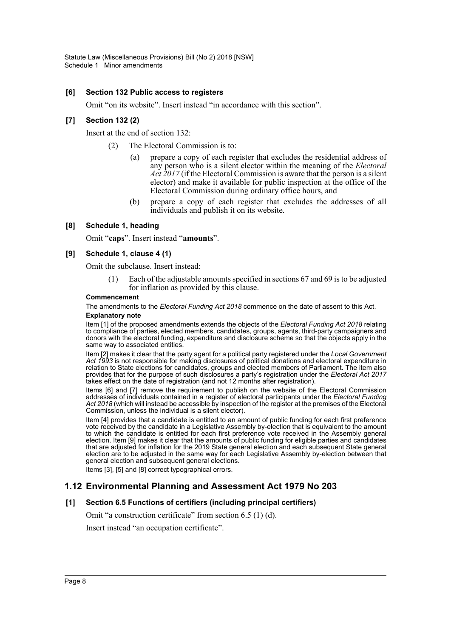# **[6] Section 132 Public access to registers**

Omit "on its website". Insert instead "in accordance with this section".

# **[7] Section 132 (2)**

Insert at the end of section 132:

- (2) The Electoral Commission is to:
	- (a) prepare a copy of each register that excludes the residential address of any person who is a silent elector within the meaning of the *Electoral Act 2017* (if the Electoral Commission is aware that the person is a silent elector) and make it available for public inspection at the office of the Electoral Commission during ordinary office hours, and
	- (b) prepare a copy of each register that excludes the addresses of all individuals and publish it on its website.

# **[8] Schedule 1, heading**

Omit "**caps**". Insert instead "**amounts**".

# **[9] Schedule 1, clause 4 (1)**

Omit the subclause. Insert instead:

Each of the adjustable amounts specified in sections 67 and 69 is to be adjusted for inflation as provided by this clause.

#### **Commencement**

The amendments to the *Electoral Funding Act 2018* commence on the date of assent to this Act. **Explanatory note**

Item [1] of the proposed amendments extends the objects of the *Electoral Funding Act 2018* relating to compliance of parties, elected members, candidates, groups, agents, third-party campaigners and donors with the electoral funding, expenditure and disclosure scheme so that the objects apply in the same way to associated entities.

Item [2] makes it clear that the party agent for a political party registered under the *Local Government Act 1993* is not responsible for making disclosures of political donations and electoral expenditure in relation to State elections for candidates, groups and elected members of Parliament. The item also provides that for the purpose of such disclosures a party's registration under the *Electoral Act 2017* takes effect on the date of registration (and not 12 months after registration).

Items [6] and [7] remove the requirement to publish on the website of the Electoral Commission addresses of individuals contained in a register of electoral participants under the *Electoral Funding Act 2018* (which will instead be accessible by inspection of the register at the premises of the Electoral Commission, unless the individual is a silent elector).

Item [4] provides that a candidate is entitled to an amount of public funding for each first preference vote received by the candidate in a Legislative Assembly by-election that is equivalent to the amount to which the candidate is entitled for each first preference vote received in the Assembly general election. Item [9] makes it clear that the amounts of public funding for eligible parties and candidates that are adjusted for inflation for the 2019 State general election and each subsequent State general election are to be adjusted in the same way for each Legislative Assembly by-election between that general election and subsequent general elections.

Items [3], [5] and [8] correct typographical errors.

# **1.12 Environmental Planning and Assessment Act 1979 No 203**

# **[1] Section 6.5 Functions of certifiers (including principal certifiers)**

Omit "a construction certificate" from section 6.5 (1) (d).

Insert instead "an occupation certificate".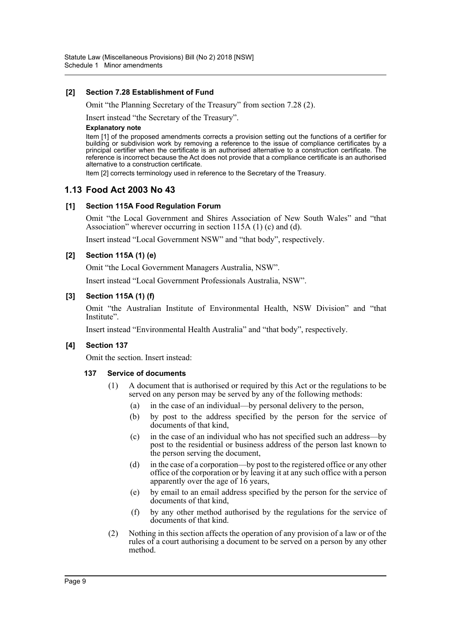# **[2] Section 7.28 Establishment of Fund**

Omit "the Planning Secretary of the Treasury" from section 7.28 (2).

Insert instead "the Secretary of the Treasury".

#### **Explanatory note**

Item [1] of the proposed amendments corrects a provision setting out the functions of a certifier for building or subdivision work by removing a reference to the issue of compliance certificates by a principal certifier when the certificate is an authorised alternative to a construction certificate. The reference is incorrect because the Act does not provide that a compliance certificate is an authorised alternative to a construction certificate.

Item [2] corrects terminology used in reference to the Secretary of the Treasury.

# **1.13 Food Act 2003 No 43**

# **[1] Section 115A Food Regulation Forum**

Omit "the Local Government and Shires Association of New South Wales" and "that Association" wherever occurring in section 115A (1) (c) and (d).

Insert instead "Local Government NSW" and "that body", respectively.

# **[2] Section 115A (1) (e)**

Omit "the Local Government Managers Australia, NSW".

Insert instead "Local Government Professionals Australia, NSW".

# **[3] Section 115A (1) (f)**

Omit "the Australian Institute of Environmental Health, NSW Division" and "that Institute".

Insert instead "Environmental Health Australia" and "that body", respectively.

# **[4] Section 137**

Omit the section. Insert instead:

#### **137 Service of documents**

- (1) A document that is authorised or required by this Act or the regulations to be served on any person may be served by any of the following methods:
	- (a) in the case of an individual—by personal delivery to the person,
	- (b) by post to the address specified by the person for the service of documents of that kind,
	- (c) in the case of an individual who has not specified such an address—by post to the residential or business address of the person last known to the person serving the document,
	- (d) in the case of a corporation—by post to the registered office or any other office of the corporation or by leaving it at any such office with a person apparently over the age of 16 years,
	- (e) by email to an email address specified by the person for the service of documents of that kind,
	- (f) by any other method authorised by the regulations for the service of documents of that kind.
- (2) Nothing in this section affects the operation of any provision of a law or of the rules of a court authorising a document to be served on a person by any other method.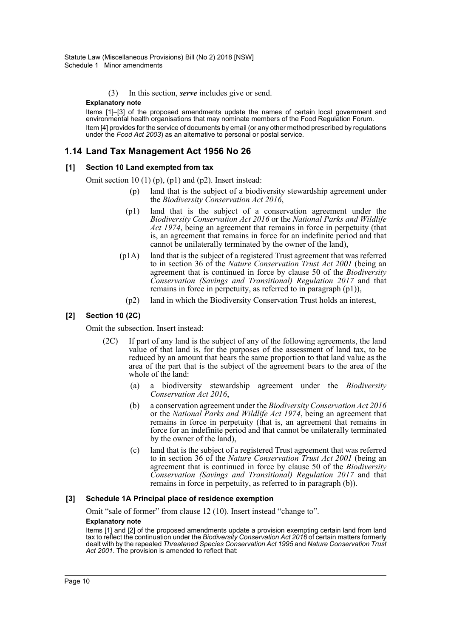(3) In this section, *serve* includes give or send.

#### **Explanatory note**

Items [1]–[3] of the proposed amendments update the names of certain local government and environmental health organisations that may nominate members of the Food Regulation Forum. Item [4] provides for the service of documents by email (or any other method prescribed by regulations under the *Food Act 2003*) as an alternative to personal or postal service.

# **1.14 Land Tax Management Act 1956 No 26**

# **[1] Section 10 Land exempted from tax**

Omit section 10 (1) (p), (p1) and (p2). Insert instead:

- (p) land that is the subject of a biodiversity stewardship agreement under the *Biodiversity Conservation Act 2016*,
- (p1) land that is the subject of a conservation agreement under the *Biodiversity Conservation Act 2016* or the *National Parks and Wildlife Act 1974*, being an agreement that remains in force in perpetuity (that is, an agreement that remains in force for an indefinite period and that cannot be unilaterally terminated by the owner of the land),
- (p1A) land that is the subject of a registered Trust agreement that was referred to in section 36 of the *Nature Conservation Trust Act 2001* (being an agreement that is continued in force by clause 50 of the *Biodiversity Conservation (Savings and Transitional) Regulation 2017* and that remains in force in perpetuity, as referred to in paragraph (p1)),
	- (p2) land in which the Biodiversity Conservation Trust holds an interest,

# **[2] Section 10 (2C)**

Omit the subsection. Insert instead:

- (2C) If part of any land is the subject of any of the following agreements, the land value of that land is, for the purposes of the assessment of land tax, to be reduced by an amount that bears the same proportion to that land value as the area of the part that is the subject of the agreement bears to the area of the whole of the land:
	- (a) a biodiversity stewardship agreement under the *Biodiversity Conservation Act 2016*,
	- (b) a conservation agreement under the *Biodiversity Conservation Act 2016* or the *National Parks and Wildlife Act 1974*, being an agreement that remains in force in perpetuity (that is, an agreement that remains in force for an indefinite period and that cannot be unilaterally terminated by the owner of the land),
	- (c) land that is the subject of a registered Trust agreement that was referred to in section 36 of the *Nature Conservation Trust Act 2001* (being an agreement that is continued in force by clause 50 of the *Biodiversity Conservation (Savings and Transitional) Regulation 2017* and that remains in force in perpetuity, as referred to in paragraph (b)).

# **[3] Schedule 1A Principal place of residence exemption**

Omit "sale of former" from clause 12 (10). Insert instead "change to". **Explanatory note**

Items [1] and [2] of the proposed amendments update a provision exempting certain land from land tax to reflect the continuation under the *Biodiversity Conservation Act 2016* of certain matters formerly dealt with by the repealed *Threatened Species Conservation Act 1995* and *Nature Conservation Trust Act 2001*. The provision is amended to reflect that: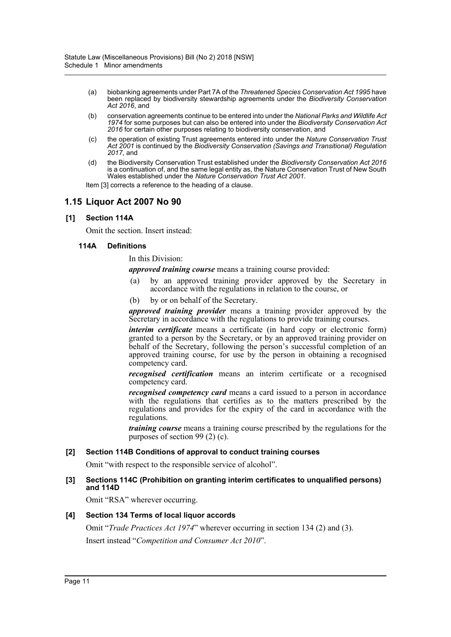- (a) biobanking agreements under Part 7A of the *Threatened Species Conservation Act 1995* have been replaced by biodiversity stewardship agreements under the *Biodiversity Conservation Act 2016*, and
- (b) conservation agreements continue to be entered into under the *National Parks and Wildlife Act 1974* for some purposes but can also be entered into under the *Biodiversity Conservation Act 2016* for certain other purposes relating to biodiversity conservation, and
- (c) the operation of existing Trust agreements entered into under the *Nature Conservation Trust Act 2001* is continued by the *Biodiversity Conservation (Savings and Transitional) Regulation 2017*, and
- (d) the Biodiversity Conservation Trust established under the *Biodiversity Conservation Act 2016* is a continuation of, and the same legal entity as, the Nature Conservation Trust of New South Wales established under the *Nature Conservation Trust Act 2001*.

Item [3] corrects a reference to the heading of a clause.

# **1.15 Liquor Act 2007 No 90**

# **[1] Section 114A**

Omit the section. Insert instead:

#### **114A Definitions**

In this Division:

*approved training course* means a training course provided:

- (a) by an approved training provider approved by the Secretary in accordance with the regulations in relation to the course, or
- (b) by or on behalf of the Secretary.

*approved training provider* means a training provider approved by the Secretary in accordance with the regulations to provide training courses.

*interim certificate* means a certificate (in hard copy or electronic form) granted to a person by the Secretary, or by an approved training provider on behalf of the Secretary, following the person's successful completion of an approved training course, for use by the person in obtaining a recognised competency card.

*recognised certification* means an interim certificate or a recognised competency card.

*recognised competency card* means a card issued to a person in accordance with the regulations that certifies as to the matters prescribed by the regulations and provides for the expiry of the card in accordance with the regulations.

*training course* means a training course prescribed by the regulations for the purposes of section 99 (2) (c).

# **[2] Section 114B Conditions of approval to conduct training courses**

Omit "with respect to the responsible service of alcohol".

# **[3] Sections 114C (Prohibition on granting interim certificates to unqualified persons) and 114D**

Omit "RSA" wherever occurring.

# **[4] Section 134 Terms of local liquor accords**

Omit "*Trade Practices Act 1974*" wherever occurring in section 134 (2) and (3).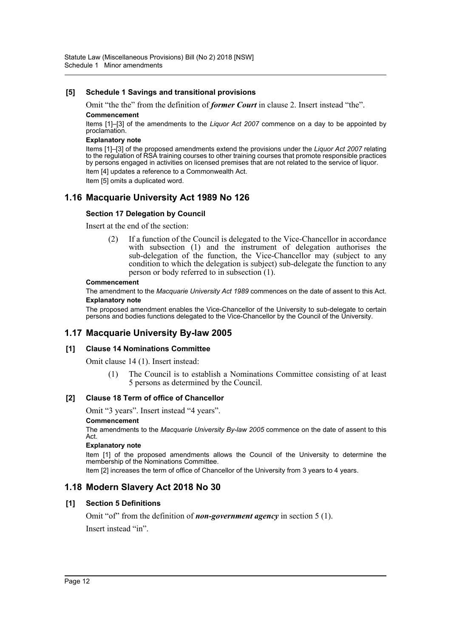# **[5] Schedule 1 Savings and transitional provisions**

Omit "the the" from the definition of *former Court* in clause 2. Insert instead "the". **Commencement**

Items [1]–[3] of the amendments to the *Liquor Act 2007* commence on a day to be appointed by proclamation.

#### **Explanatory note**

Items [1]–[3] of the proposed amendments extend the provisions under the *Liquor Act 2007* relating to the regulation of RSA training courses to other training courses that promote responsible practices by persons engaged in activities on licensed premises that are not related to the service of liquor. Item [4] updates a reference to a Commonwealth Act.

Item [5] omits a duplicated word.

# **1.16 Macquarie University Act 1989 No 126**

# **Section 17 Delegation by Council**

Insert at the end of the section:

(2) If a function of the Council is delegated to the Vice-Chancellor in accordance with subsection (1) and the instrument of delegation authorises the sub-delegation of the function, the Vice-Chancellor may (subject to any condition to which the delegation is subject) sub-delegate the function to any person or body referred to in subsection (1).

#### **Commencement**

The amendment to the *Macquarie University Act 1989* commences on the date of assent to this Act. **Explanatory note**

The proposed amendment enables the Vice-Chancellor of the University to sub-delegate to certain persons and bodies functions delegated to the Vice-Chancellor by the Council of the University.

# **1.17 Macquarie University By-law 2005**

# **[1] Clause 14 Nominations Committee**

Omit clause 14 (1). Insert instead:

(1) The Council is to establish a Nominations Committee consisting of at least 5 persons as determined by the Council.

#### **[2] Clause 18 Term of office of Chancellor**

Omit "3 years". Insert instead "4 years".

#### **Commencement**

The amendments to the *Macquarie University By-law 2005* commence on the date of assent to this Act.

#### **Explanatory note**

Item [1] of the proposed amendments allows the Council of the University to determine the membership of the Nominations Committee.

Item [2] increases the term of office of Chancellor of the University from 3 years to 4 years.

# **1.18 Modern Slavery Act 2018 No 30**

# **[1] Section 5 Definitions**

Omit "of" from the definition of *non-government agency* in section 5 (1).

Insert instead "in".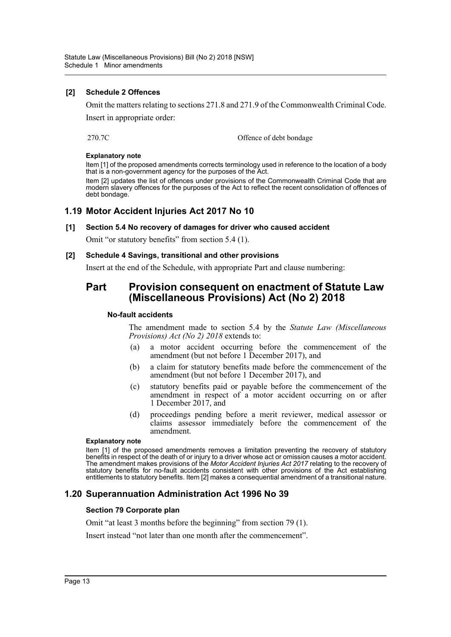# **[2] Schedule 2 Offences**

Omit the matters relating to sections 271.8 and 271.9 of the Commonwealth Criminal Code.

Insert in appropriate order:

270.7C Offence of debt bondage

# **Explanatory note**

Item [1] of the proposed amendments corrects terminology used in reference to the location of a body that is a non-government agency for the purposes of the Act.

Item [2] updates the list of offences under provisions of the Commonwealth Criminal Code that are modern slavery offences for the purposes of the Act to reflect the recent consolidation of offences of debt bondage.

# **1.19 Motor Accident Injuries Act 2017 No 10**

# **[1] Section 5.4 No recovery of damages for driver who caused accident**

Omit "or statutory benefits" from section 5.4 (1).

# **[2] Schedule 4 Savings, transitional and other provisions**

Insert at the end of the Schedule, with appropriate Part and clause numbering:

# **Part Provision consequent on enactment of Statute Law (Miscellaneous Provisions) Act (No 2) 2018**

# **No-fault accidents**

The amendment made to section 5.4 by the *Statute Law (Miscellaneous Provisions) Act (No 2) 2018* extends to:

- (a) a motor accident occurring before the commencement of the amendment (but not before 1 December 2017), and
- (b) a claim for statutory benefits made before the commencement of the amendment (but not before 1 December 2017), and
- (c) statutory benefits paid or payable before the commencement of the amendment in respect of a motor accident occurring on or after 1 December 2017, and
- (d) proceedings pending before a merit reviewer, medical assessor or claims assessor immediately before the commencement of the amendment.

#### **Explanatory note**

Item [1] of the proposed amendments removes a limitation preventing the recovery of statutory benefits in respect of the death of or injury to a driver whose act or omission causes a motor accident. The amendment makes provisions of the *Motor Accident Injuries Act 2017* relating to the recovery of statutory benefits for no-fault accidents consistent with other provisions of the Act establishing entitlements to statutory benefits. Item [2] makes a consequential amendment of a transitional nature.

# **1.20 Superannuation Administration Act 1996 No 39**

# **Section 79 Corporate plan**

Omit "at least 3 months before the beginning" from section 79 (1).

Insert instead "not later than one month after the commencement".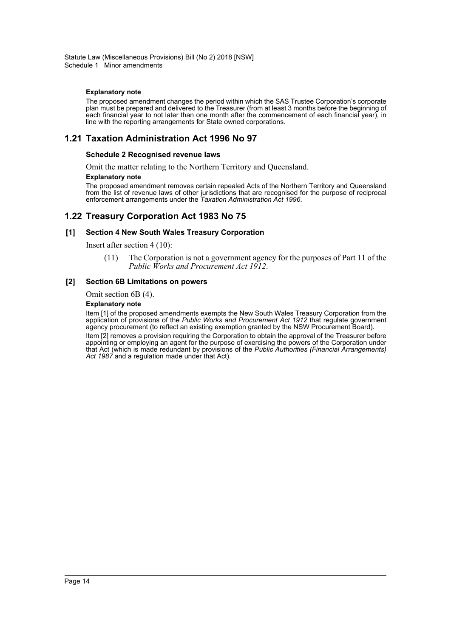#### **Explanatory note**

The proposed amendment changes the period within which the SAS Trustee Corporation's corporate plan must be prepared and delivered to the Treasurer (from at least 3 months before the beginning of each financial year to not later than one month after the commencement of each financial year), in line with the reporting arrangements for State owned corporations.

# **1.21 Taxation Administration Act 1996 No 97**

#### **Schedule 2 Recognised revenue laws**

Omit the matter relating to the Northern Territory and Queensland.

#### **Explanatory note**

The proposed amendment removes certain repealed Acts of the Northern Territory and Queensland from the list of revenue laws of other jurisdictions that are recognised for the purpose of reciprocal enforcement arrangements under the *Taxation Administration Act 1996*.

# **1.22 Treasury Corporation Act 1983 No 75**

#### **[1] Section 4 New South Wales Treasury Corporation**

Insert after section 4 (10):

(11) The Corporation is not a government agency for the purposes of Part 11 of the *Public Works and Procurement Act 1912*.

#### **[2] Section 6B Limitations on powers**

Omit section 6B (4).

#### **Explanatory note**

Item [1] of the proposed amendments exempts the New South Wales Treasury Corporation from the application of provisions of the *Public Works and Procurement Act 1912* that regulate government agency procurement (to reflect an existing exemption granted by the NSW Procurement Board). Item [2] removes a provision requiring the Corporation to obtain the approval of the Treasurer before appointing or employing an agent for the purpose of exercising the powers of the Corporation under that Act (which is made redundant by provisions of the *Public Authorities (Financial Arrangements)* Act 1987 and a regulation made under that Act).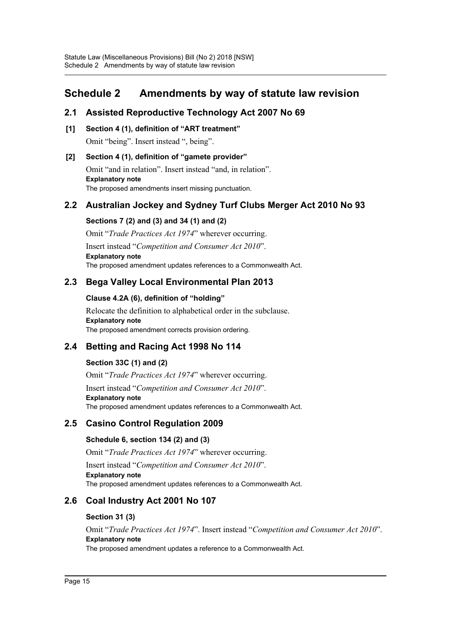# <span id="page-15-0"></span>**Schedule 2 Amendments by way of statute law revision**

# **2.1 Assisted Reproductive Technology Act 2007 No 69**

**[1] Section 4 (1), definition of "ART treatment"** Omit "being". Insert instead ", being".

# **[2] Section 4 (1), definition of "gamete provider"**

Omit "and in relation". Insert instead "and, in relation". **Explanatory note** The proposed amendments insert missing punctuation.

# **2.2 Australian Jockey and Sydney Turf Clubs Merger Act 2010 No 93**

# **Sections 7 (2) and (3) and 34 (1) and (2)**

Omit "*Trade Practices Act 1974*" wherever occurring. Insert instead "*Competition and Consumer Act 2010*". **Explanatory note** The proposed amendment updates references to a Commonwealth Act.

# **2.3 Bega Valley Local Environmental Plan 2013**

# **Clause 4.2A (6), definition of "holding"**

Relocate the definition to alphabetical order in the subclause. **Explanatory note** The proposed amendment corrects provision ordering.

# **2.4 Betting and Racing Act 1998 No 114**

# **Section 33C (1) and (2)**

Omit "*Trade Practices Act 1974*" wherever occurring. Insert instead "*Competition and Consumer Act 2010*". **Explanatory note** The proposed amendment updates references to a Commonwealth Act.

# **2.5 Casino Control Regulation 2009**

# **Schedule 6, section 134 (2) and (3)**

Omit "*Trade Practices Act 1974*" wherever occurring.

Insert instead "*Competition and Consumer Act 2010*". **Explanatory note** The proposed amendment updates references to a Commonwealth Act.

# **2.6 Coal Industry Act 2001 No 107**

# **Section 31 (3)**

Omit "*Trade Practices Act 1974*". Insert instead "*Competition and Consumer Act 2010*". **Explanatory note** The proposed amendment updates a reference to a Commonwealth Act.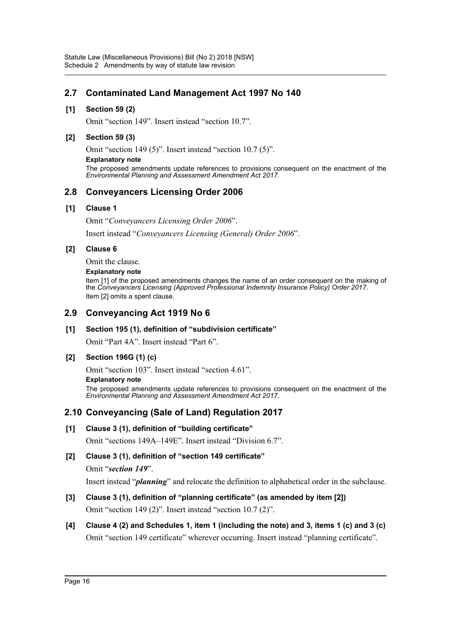# **2.7 Contaminated Land Management Act 1997 No 140**

# **[1] Section 59 (2)**

Omit "section 149". Insert instead "section 10.7".

# **[2] Section 59 (3)**

Omit "section 149 (5)". Insert instead "section 10.7 (5)".

#### **Explanatory note**

The proposed amendments update references to provisions consequent on the enactment of the *Environmental Planning and Assessment Amendment Act 2017*.

# **2.8 Conveyancers Licensing Order 2006**

# **[1] Clause 1**

Omit "*Conveyancers Licensing Order 2006*".

Insert instead "*Conveyancers Licensing (General) Order 2006*".

# **[2] Clause 6**

Omit the clause.

#### **Explanatory note**

Item [1] of the proposed amendments changes the name of an order consequent on the making of the *Conveyancers Licensing (Approved Professional Indemnity Insurance Policy) Order 2017*. Item [2] omits a spent clause.

# **2.9 Conveyancing Act 1919 No 6**

# **[1] Section 195 (1), definition of "subdivision certificate"**

Omit "Part 4A". Insert instead "Part 6".

# **[2] Section 196G (1) (c)**

Omit "section 103". Insert instead "section 4.61".

#### **Explanatory note**

The proposed amendments update references to provisions consequent on the enactment of the *Environmental Planning and Assessment Amendment Act 2017*.

# **2.10 Conveyancing (Sale of Land) Regulation 2017**

# **[1] Clause 3 (1), definition of "building certificate"**

Omit "sections 149A–149E". Insert instead "Division 6.7".

# **[2] Clause 3 (1), definition of "section 149 certificate"**

Omit "*section 149*".

Insert instead "*planning*" and relocate the definition to alphabetical order in the subclause.

# **[3] Clause 3 (1), definition of "planning certificate" (as amended by item [2])** Omit "section 149 (2)". Insert instead "section 10.7 (2)".

# **[4] Clause 4 (2) and Schedules 1, item 1 (including the note) and 3, items 1 (c) and 3 (c)** Omit "section 149 certificate" wherever occurring. Insert instead "planning certificate".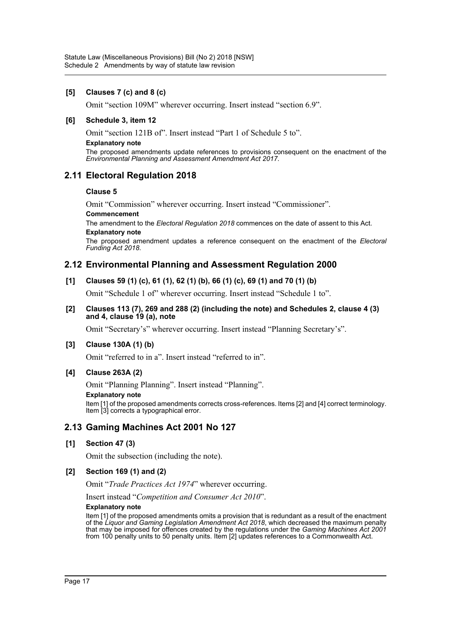# **[5] Clauses 7 (c) and 8 (c)**

Omit "section 109M" wherever occurring. Insert instead "section 6.9".

# **[6] Schedule 3, item 12**

Omit "section 121B of". Insert instead "Part 1 of Schedule 5 to".

#### **Explanatory note**

The proposed amendments update references to provisions consequent on the enactment of the *Environmental Planning and Assessment Amendment Act 2017*.

# **2.11 Electoral Regulation 2018**

#### **Clause 5**

Omit "Commission" wherever occurring. Insert instead "Commissioner".

#### **Commencement**

The amendment to the *Electoral Regulation 2018* commences on the date of assent to this Act. **Explanatory note**

The proposed amendment updates a reference consequent on the enactment of the *Electoral Funding Act 2018*.

# **2.12 Environmental Planning and Assessment Regulation 2000**

**[1] Clauses 59 (1) (c), 61 (1), 62 (1) (b), 66 (1) (c), 69 (1) and 70 (1) (b)**

Omit "Schedule 1 of" wherever occurring. Insert instead "Schedule 1 to".

**[2] Clauses 113 (7), 269 and 288 (2) (including the note) and Schedules 2, clause 4 (3) and 4, clause 19 (a), note**

Omit "Secretary's" wherever occurring. Insert instead "Planning Secretary's".

# **[3] Clause 130A (1) (b)**

Omit "referred to in a". Insert instead "referred to in".

# **[4] Clause 263A (2)**

Omit "Planning Planning". Insert instead "Planning".

#### **Explanatory note**

Item [1] of the proposed amendments corrects cross-references. Items [2] and [4] correct terminology. Item [3] corrects a typographical error.

# **2.13 Gaming Machines Act 2001 No 127**

# **[1] Section 47 (3)**

Omit the subsection (including the note).

# **[2] Section 169 (1) and (2)**

Omit "*Trade Practices Act 1974*" wherever occurring.

Insert instead "*Competition and Consumer Act 2010*".

#### **Explanatory note**

Item [1] of the proposed amendments omits a provision that is redundant as a result of the enactment of the *Liquor and Gaming Legislation Amendment Act 2018*, which decreased the maximum penalty that may be imposed for offences created by the regulations under the *Gaming Machines Act 2001* from 100 penalty units to 50 penalty units. Item [2] updates references to a Commonwealth Act.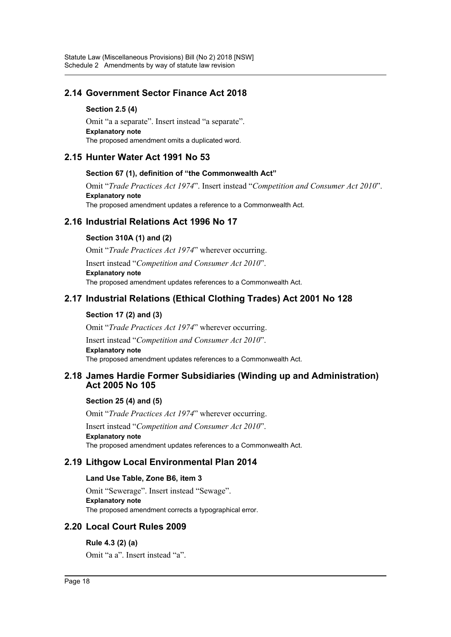# **2.14 Government Sector Finance Act 2018**

# **Section 2.5 (4)**

Omit "a a separate". Insert instead "a separate". **Explanatory note** The proposed amendment omits a duplicated word.

# **2.15 Hunter Water Act 1991 No 53**

# **Section 67 (1), definition of "the Commonwealth Act"**

Omit "*Trade Practices Act 1974*". Insert instead "*Competition and Consumer Act 2010*". **Explanatory note** The proposed amendment updates a reference to a Commonwealth Act.

# **2.16 Industrial Relations Act 1996 No 17**

# **Section 310A (1) and (2)**

Omit "*Trade Practices Act 1974*" wherever occurring.

Insert instead "*Competition and Consumer Act 2010*". **Explanatory note** The proposed amendment updates references to a Commonwealth Act.

# **2.17 Industrial Relations (Ethical Clothing Trades) Act 2001 No 128**

# **Section 17 (2) and (3)**

Omit "*Trade Practices Act 1974*" wherever occurring.

Insert instead "*Competition and Consumer Act 2010*". **Explanatory note** The proposed amendment updates references to a Commonwealth Act.

# **2.18 James Hardie Former Subsidiaries (Winding up and Administration) Act 2005 No 105**

# **Section 25 (4) and (5)**

Omit "*Trade Practices Act 1974*" wherever occurring.

Insert instead "*Competition and Consumer Act 2010*". **Explanatory note** The proposed amendment updates references to a Commonwealth Act.

# **2.19 Lithgow Local Environmental Plan 2014**

# **Land Use Table, Zone B6, item 3**

Omit "Sewerage". Insert instead "Sewage". **Explanatory note** The proposed amendment corrects a typographical error.

# **2.20 Local Court Rules 2009**

# **Rule 4.3 (2) (a)**

Omit "a a". Insert instead "a".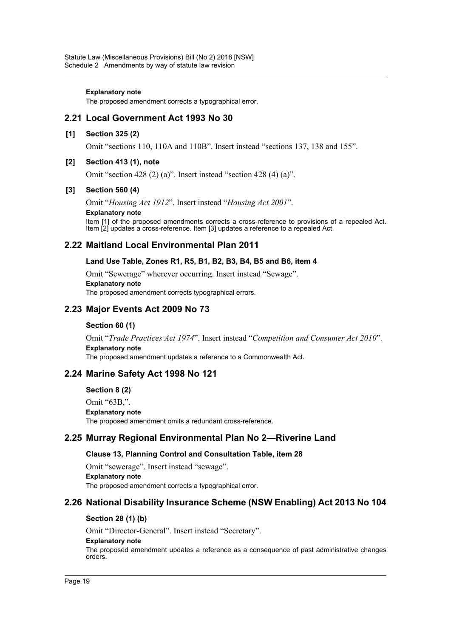#### **Explanatory note**

The proposed amendment corrects a typographical error.

# **2.21 Local Government Act 1993 No 30**

#### **[1] Section 325 (2)**

Omit "sections 110, 110A and 110B". Insert instead "sections 137, 138 and 155".

# **[2] Section 413 (1), note**

Omit "section 428 (2) (a)". Insert instead "section 428 (4) (a)".

#### **[3] Section 560 (4)**

Omit "*Housing Act 1912*". Insert instead "*Housing Act 2001*".

#### **Explanatory note**

Item [1] of the proposed amendments corrects a cross-reference to provisions of a repealed Act. Item [2] updates a cross-reference. Item [3] updates a reference to a repealed Act.

# **2.22 Maitland Local Environmental Plan 2011**

#### **Land Use Table, Zones R1, R5, B1, B2, B3, B4, B5 and B6, item 4**

Omit "Sewerage" wherever occurring. Insert instead "Sewage". **Explanatory note** The proposed amendment corrects typographical errors.

# **2.23 Major Events Act 2009 No 73**

#### **Section 60 (1)**

Omit "*Trade Practices Act 1974*". Insert instead "*Competition and Consumer Act 2010*". **Explanatory note** The proposed amendment updates a reference to a Commonwealth Act.

# **2.24 Marine Safety Act 1998 No 121**

**Section 8 (2)**

Omit "63B,". **Explanatory note** The proposed amendment omits a redundant cross-reference.

# **2.25 Murray Regional Environmental Plan No 2—Riverine Land**

# **Clause 13, Planning Control and Consultation Table, item 28**

Omit "sewerage". Insert instead "sewage". **Explanatory note** The proposed amendment corrects a typographical error.

# **2.26 National Disability Insurance Scheme (NSW Enabling) Act 2013 No 104**

# **Section 28 (1) (b)**

Omit "Director-General". Insert instead "Secretary".

#### **Explanatory note**

The proposed amendment updates a reference as a consequence of past administrative changes orders.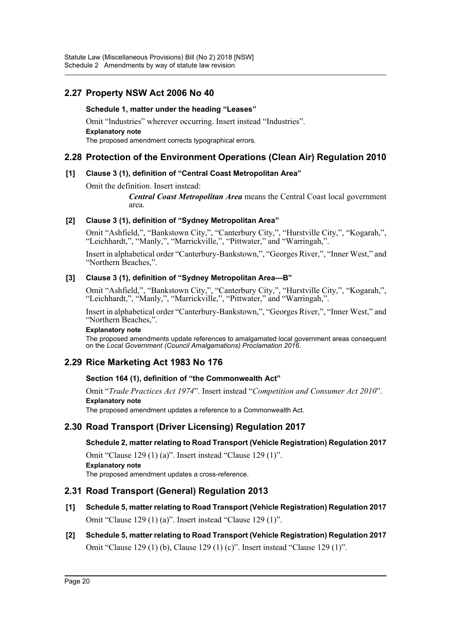# **2.27 Property NSW Act 2006 No 40**

# **Schedule 1, matter under the heading "Leases"**

Omit "lndustries" wherever occurring. Insert instead "Industries". **Explanatory note** The proposed amendment corrects typographical errors.

# **2.28 Protection of the Environment Operations (Clean Air) Regulation 2010**

# **[1] Clause 3 (1), definition of "Central Coast Metropolitan Area"**

Omit the definition. Insert instead:

*Central Coast Metropolitan Area* means the Central Coast local government area.

# **[2] Clause 3 (1), definition of "Sydney Metropolitan Area"**

Omit "Ashfield,", "Bankstown City,", "Canterbury City,", "Hurstville City,", "Kogarah,", "Leichhardt,", "Manly,", "Marrickville,", "Pittwater," and "Warringah,".

Insert in alphabetical order "Canterbury-Bankstown,", "Georges River,", "Inner West," and "Northern Beaches,".

# **[3] Clause 3 (1), definition of "Sydney Metropolitan Area—B"**

Omit "Ashfield,", "Bankstown City,", "Canterbury City,", "Hurstville City,", "Kogarah,", "Leichhardt,", "Manly,", "Marrickville,", "Pittwater," and "Warringah,".

Insert in alphabetical order "Canterbury-Bankstown,", "Georges River,", "Inner West," and "Northern Beaches,".

# **Explanatory note**

The proposed amendments update references to amalgamated local government areas consequent on the *Local Government (Council Amalgamations) Proclamation 2016*.

# **2.29 Rice Marketing Act 1983 No 176**

# **Section 164 (1), definition of "the Commonwealth Act"**

Omit "*Trade Practices Act 1974*". Insert instead "*Competition and Consumer Act 2010*". **Explanatory note**

The proposed amendment updates a reference to a Commonwealth Act.

# **2.30 Road Transport (Driver Licensing) Regulation 2017**

**Schedule 2, matter relating to Road Transport (Vehicle Registration) Regulation 2017**

Omit "Clause 129 (1) (a)". Insert instead "Clause 129 (1)". **Explanatory note** The proposed amendment updates a cross-reference.

# **2.31 Road Transport (General) Regulation 2013**

- **[1] Schedule 5, matter relating to Road Transport (Vehicle Registration) Regulation 2017** Omit "Clause 129 (1) (a)". Insert instead "Clause 129 (1)".
- **[2] Schedule 5, matter relating to Road Transport (Vehicle Registration) Regulation 2017** Omit "Clause 129 (1) (b), Clause 129 (1) (c)". Insert instead "Clause 129 (1)".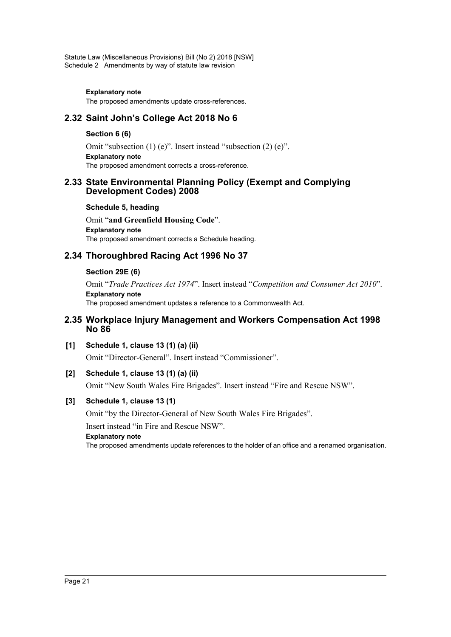#### **Explanatory note**

The proposed amendments update cross-references.

# **2.32 Saint John's College Act 2018 No 6**

# **Section 6 (6)**

Omit "subsection (1) (e)". Insert instead "subsection (2) (e)". **Explanatory note** The proposed amendment corrects a cross-reference.

# **2.33 State Environmental Planning Policy (Exempt and Complying Development Codes) 2008**

# **Schedule 5, heading**

Omit "**and Greenfield Housing Code**". **Explanatory note** The proposed amendment corrects a Schedule heading.

# **2.34 Thoroughbred Racing Act 1996 No 37**

# **Section 29E (6)**

Omit "*Trade Practices Act 1974*". Insert instead "*Competition and Consumer Act 2010*". **Explanatory note** The proposed amendment updates a reference to a Commonwealth Act.

# **2.35 Workplace Injury Management and Workers Compensation Act 1998 No 86**

- **[1] Schedule 1, clause 13 (1) (a) (ii)** Omit "Director-General". Insert instead "Commissioner".
- **[2] Schedule 1, clause 13 (1) (a) (ii)**

Omit "New South Wales Fire Brigades". Insert instead "Fire and Rescue NSW".

# **[3] Schedule 1, clause 13 (1)**

Omit "by the Director-General of New South Wales Fire Brigades".

Insert instead "in Fire and Rescue NSW".

# **Explanatory note**

The proposed amendments update references to the holder of an office and a renamed organisation.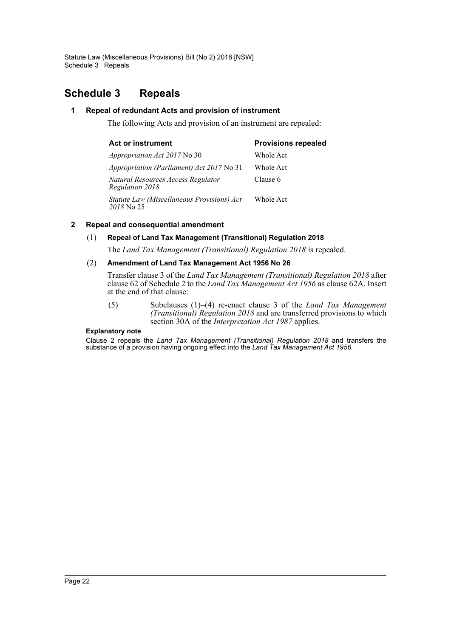# <span id="page-22-0"></span>**Schedule 3 Repeals**

# **1 Repeal of redundant Acts and provision of instrument**

The following Acts and provision of an instrument are repealed:

| <b>Provisions repealed</b> |  |
|----------------------------|--|
| Whole Act                  |  |
| Whole Act                  |  |
| Clause 6                   |  |
| Whole Act                  |  |
|                            |  |

# **2 Repeal and consequential amendment**

#### (1) **Repeal of Land Tax Management (Transitional) Regulation 2018**

The *Land Tax Management (Transitional) Regulation 2018* is repealed.

#### (2) **Amendment of Land Tax Management Act 1956 No 26**

Transfer clause 3 of the *Land Tax Management (Transitional) Regulation 2018* after clause 62 of Schedule 2 to the *Land Tax Management Act 1956* as clause 62A. Insert at the end of that clause:

(5) Subclauses (1)–(4) re-enact clause 3 of the *Land Tax Management (Transitional) Regulation 2018* and are transferred provisions to which section 30A of the *Interpretation Act 1987* applies.

#### **Explanatory note**

Clause 2 repeals the *Land Tax Management (Transitional) Regulation 2018* and transfers the substance of a provision having ongoing effect into the *Land Tax Management Act 1956*.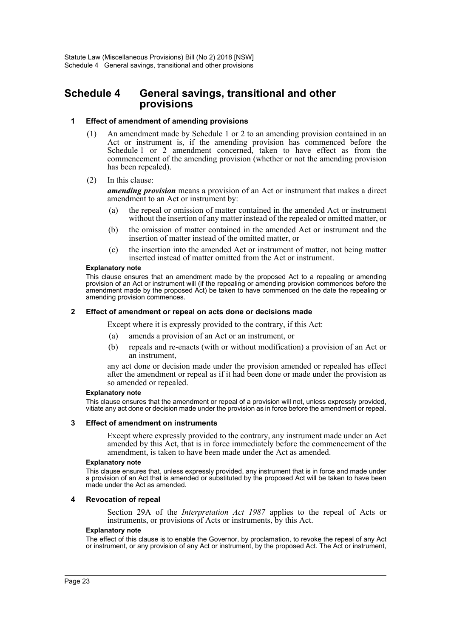# <span id="page-23-0"></span>**Schedule 4 General savings, transitional and other provisions**

#### **1 Effect of amendment of amending provisions**

- (1) An amendment made by Schedule 1 or 2 to an amending provision contained in an Act or instrument is, if the amending provision has commenced before the Schedule 1 or 2 amendment concerned, taken to have effect as from the commencement of the amending provision (whether or not the amending provision has been repealed).
- (2) In this clause:

*amending provision* means a provision of an Act or instrument that makes a direct amendment to an Act or instrument by:

- (a) the repeal or omission of matter contained in the amended Act or instrument without the insertion of any matter instead of the repealed or omitted matter, or
- (b) the omission of matter contained in the amended Act or instrument and the insertion of matter instead of the omitted matter, or
- (c) the insertion into the amended Act or instrument of matter, not being matter inserted instead of matter omitted from the Act or instrument.

#### **Explanatory note**

This clause ensures that an amendment made by the proposed Act to a repealing or amending provision of an Act or instrument will (if the repealing or amending provision commences before the amendment made by the proposed Act) be taken to have commenced on the date the repealing or amending provision commences.

#### **2 Effect of amendment or repeal on acts done or decisions made**

Except where it is expressly provided to the contrary, if this Act:

- (a) amends a provision of an Act or an instrument, or
- (b) repeals and re-enacts (with or without modification) a provision of an Act or an instrument,

any act done or decision made under the provision amended or repealed has effect after the amendment or repeal as if it had been done or made under the provision as so amended or repealed.

#### **Explanatory note**

This clause ensures that the amendment or repeal of a provision will not, unless expressly provided, vitiate any act done or decision made under the provision as in force before the amendment or repeal.

#### **3 Effect of amendment on instruments**

Except where expressly provided to the contrary, any instrument made under an Act amended by this Act, that is in force immediately before the commencement of the amendment, is taken to have been made under the Act as amended.

#### **Explanatory note**

This clause ensures that, unless expressly provided, any instrument that is in force and made under a provision of an Act that is amended or substituted by the proposed Act will be taken to have been made under the Act as amended.

#### **4 Revocation of repeal**

Section 29A of the *Interpretation Act 1987* applies to the repeal of Acts or instruments, or provisions of Acts or instruments, by this Act.

#### **Explanatory note**

The effect of this clause is to enable the Governor, by proclamation, to revoke the repeal of any Act or instrument, or any provision of any Act or instrument, by the proposed Act. The Act or instrument,